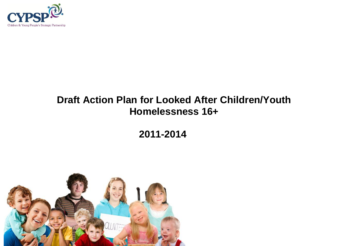

# **Draft Action Plan for Looked After Children/Youth Homelessness 16+**

**2011-2014**

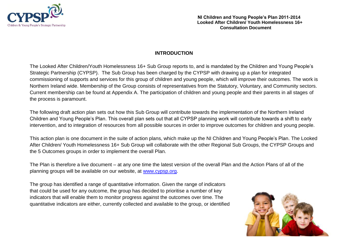

### **INTRODUCTION**

The Looked After Children/Youth Homelessness 16+ Sub Group reports to, and is mandated by the Children and Young People's Strategic Partnership (CYPSP). The Sub Group has been charged by the CYPSP with drawing up a plan for integrated commissioning of supports and services for this group of children and young people, which will improve their outcomes. The work is Northern Ireland wide. Membership of the Group consists of representatives from the Statutory, Voluntary, and Community sectors. Current membership can be found at Appendix A. The participation of children and young people and their parents in all stages of the process is paramount.

The following draft action plan sets out how this Sub Group will contribute towards the implementation of the Northern Ireland Children and Young People's Plan. This overall plan sets out that all CYPSP planning work will contribute towards a shift to early intervention, and to integration of resources from all possible sources in order to improve outcomes for children and young people.

This action plan is one document in the suite of action plans, which make up the NI Children and Young People's Plan. The Looked After Children/ Youth Homelessness 16+ Sub Group will collaborate with the other Regional Sub Groups, the CYPSP Groups and the 5 Outcomes groups in order to implement the overall Plan.

The Plan is therefore a live document – at any one time the latest version of the overall Plan and the Action Plans of all of the planning groups will be available on our website, at [www.cypsp.org.](http://www.cypsp.org/)

The group has identified a range of quantitative information. Given the range of indicators that could be used for any outcome, the group has decided to prioritise a number of key indicators that will enable them to monitor progress against the outcomes over time. The quantitative indicators are either, currently collected and available to the group, or identified

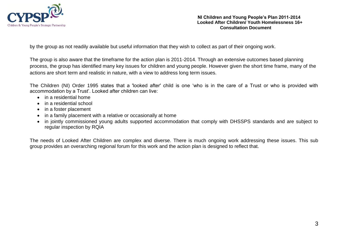

by the group as not readily available but useful information that they wish to collect as part of their ongoing work.

The group is also aware that the timeframe for the action plan is 2011-2014. Through an extensive outcomes based planning process, the group has identified many key issues for children and young people. However given the short time frame, many of the actions are short term and realistic in nature, with a view to address long term issues.

The Children (NI) Order 1995 states that a 'looked after' child is one 'who is in the care of a Trust or who is provided with accommodation by a Trust'. Looked after children can live:

- in a residential home
- in a residential school
- in a foster placement
- in a family placement with a relative or occasionally at home
- in jointly commissioned young adults supported accommodation that comply with DHSSPS standards and are subject to regular inspection by RQIA

The needs of Looked After Children are complex and diverse. There is much ongoing work addressing these issues. This sub group provides an overarching regional forum for this work and the action plan is designed to reflect that.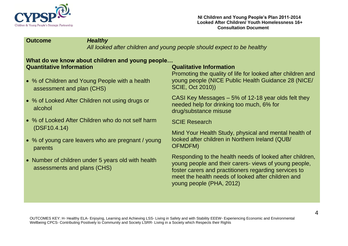

### **Outcome** *Healthy*

*All looked after children and young people should expect to be healthy* 

### **What do we know about children and young people… Quantitative Information Qualitative Information**

- % of Children and Young People with a health assessment and plan (CHS)
- % of Looked After Children not using drugs or alcohol
- % of Looked After Children who do not self harm (DSF10.4.14)
- % of young care leavers who are pregnant / young parents
- Number of children under 5 years old with health assessments and plans (CHS)

Promoting the quality of life for looked after children and young people (NICE Public Health Guidance 28 (NICE/ SCIE, Oct 2010))

CASI Key Messages – 5% of 12-18 year olds felt they needed help for drinking too much, 6% for drug/substance misuse

SCIE Research

Mind Your Health Study, physical and mental health of looked after children in Northern Ireland (QUB/ OFMDFM)

Responding to the health needs of looked after children, young people and their carers- views of young people, foster carers and practitioners regarding services to meet the health needs of looked after children and young people (PHA, 2012)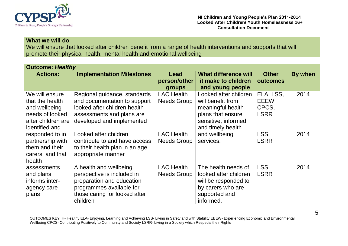

### **What we will do**

We will ensure that looked after children benefit from a range of health interventions and supports that will promote their physical health, mental health and emotional wellbeing

| <b>Outcome: Healthy</b>                                                                                       |                                                                                                                                                            |                                         |                                                                                                                                  |                                            |         |
|---------------------------------------------------------------------------------------------------------------|------------------------------------------------------------------------------------------------------------------------------------------------------------|-----------------------------------------|----------------------------------------------------------------------------------------------------------------------------------|--------------------------------------------|---------|
| <b>Actions:</b>                                                                                               | <b>Implementation Milestones</b>                                                                                                                           | Lead<br>person/other<br><b>groups</b>   | <b>What difference will</b><br>it make to children<br>and young people                                                           | <b>Other</b><br>outcomes                   | By when |
| We will ensure<br>that the health<br>and wellbeing<br>needs of looked<br>after children are<br>identified and | Regional guidance, standards<br>and documentation to support<br>looked after children health<br>assessments and plans are<br>developed and implemented     | <b>LAC Health</b><br><b>Needs Group</b> | Looked after children<br>will benefit from<br>meaningful health<br>plans that ensure<br>sensitive, informed<br>and timely health | ELA, LSS,<br>EEEW,<br>CPCS,<br><b>LSRR</b> | 2014    |
| responded to in<br>partnership with<br>them and their<br>carers, and that<br>health                           | Looked after children<br>contribute to and have access<br>to their health plan in an age<br>appropriate manner                                             | <b>LAC Health</b><br>Needs Group        | and wellbeing<br>services.                                                                                                       | LSS,<br><b>LSRR</b>                        | 2014    |
| assessments<br>and plans<br>informs inter-<br>agency care<br>plans                                            | A health and wellbeing<br>perspective is included in<br>preparation and education<br>programmes available for<br>those caring for looked after<br>children | <b>LAC Health</b><br>Needs Group        | The health needs of<br>looked after children<br>will be responded to<br>by carers who are<br>supported and<br>informed.          | LSS,<br><b>LSRR</b>                        | 2014    |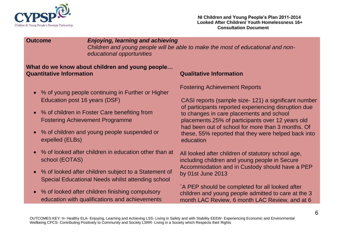

### **Outcome** *Enjoying, learning and achieving*

*Children and young people will be able to make the most of educational and noneducational opportunities*

### **What do we know about children and young people… Quantitative Information Qualitative Information**

- % of young people continuing in Further or Higher Education post 16 years (DSF)
- % of children in Foster Care benefiting from Fostering Achievement Programme
- % of children and young people suspended or expelled (ELBs)
- % of looked after children in education other than at school (EOTAS)
- % of looked after children subject to a Statement of Special Educational Needs whilst attending school
- % of looked after children finishing compulsory education with qualifications and achievements

Fostering Achievement Reports

CASI reports (sample size- 121) a significant number of participants reported experiencing disruption due to changes in care placements and school placements.25% of participants over 12 years old had been out of school for more than 3 months. Of these, 55% reported that they were helped back into education

All looked after children of statutory school age, including children and young people in Secure Accommodation and in Custody should have a PEP by 01st June 2013

`A PEP should be completed for all looked after children and young people admitted to care at the 3 month LAC Review, 6 month LAC Review, and at 6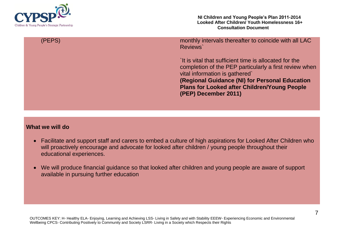

**NI Children and Young People's Plan 2011-2014 Looked After Children/ Youth Homelessness 16+ Consultation Document**

(PEPS) monthly intervals thereafter to coincide with all LAC Reviews`

> `It is vital that sufficient time is allocated for the completion of the PEP particularly a first review when vital information is gathered` **(Regional Guidance (NI) for Personal Education Plans for Looked after Children/Young People (PEP) December 2011)**

### **What we will do**

- Facilitate and support staff and carers to embed a culture of high aspirations for Looked After Children who will proactively encourage and advocate for looked after children / young people throughout their educational experiences.
- We will produce financial guidance so that looked after children and young people are aware of support available in pursuing further education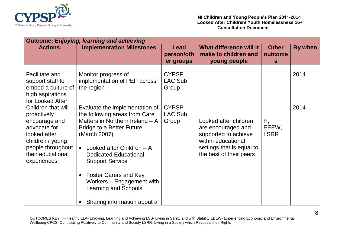

| <b>Outcome: Enjoying, learning and achieving</b>                                                                                                                 |                                                                                                                                                                                                                                                                                                                                                                          |                                         |                                                                                                                                                   |                              |         |  |  |  |
|------------------------------------------------------------------------------------------------------------------------------------------------------------------|--------------------------------------------------------------------------------------------------------------------------------------------------------------------------------------------------------------------------------------------------------------------------------------------------------------------------------------------------------------------------|-----------------------------------------|---------------------------------------------------------------------------------------------------------------------------------------------------|------------------------------|---------|--|--|--|
| <b>Actions:</b>                                                                                                                                                  | <b>Implementation Milestones</b>                                                                                                                                                                                                                                                                                                                                         | Lead<br>person/oth<br>er groups         | What difference will it<br>make to children and<br>young people                                                                                   | <b>Other</b><br>outcome<br>S | By when |  |  |  |
| Facilitate and<br>support staff to<br>embed a culture of<br>high aspirations<br>for Looked After                                                                 | Monitor progress of<br>implementation of PEP across<br>the region                                                                                                                                                                                                                                                                                                        | <b>CYPSP</b><br><b>LAC Sub</b><br>Group |                                                                                                                                                   |                              | 2014    |  |  |  |
| Children that will<br>proactively<br>encourage and<br>advocate for<br>looked after<br>children / young<br>people throughout<br>their educational<br>experiences. | Evaluate the implementation of<br>the following areas from Care<br>Matters in Northern Ireland - A<br>Bridge to a Better Future:<br>(March 2007)<br>Looked after Children - A<br>$\bullet$<br><b>Dedicated Educational</b><br><b>Support Service</b><br><b>Foster Carers and Key</b><br>Workers - Engagement with<br>Learning and Schools<br>Sharing information about a | <b>CYPSP</b><br><b>LAC Sub</b><br>Group | Looked after children<br>are encouraged and<br>supported to achieve<br>within educational<br>settings that is equal to<br>the best of their peers | Н,<br>EEEW,<br><b>LSRR</b>   | 2014    |  |  |  |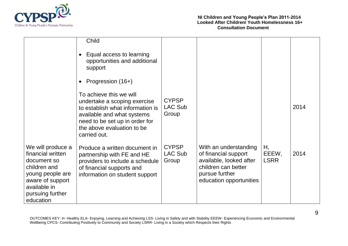

|                                                                                                                                                                | Child                                                                                                                                                                                                     |                                         |                                                                                                                                              |                            |      |
|----------------------------------------------------------------------------------------------------------------------------------------------------------------|-----------------------------------------------------------------------------------------------------------------------------------------------------------------------------------------------------------|-----------------------------------------|----------------------------------------------------------------------------------------------------------------------------------------------|----------------------------|------|
|                                                                                                                                                                | Equal access to learning<br>opportunities and additional<br>support                                                                                                                                       |                                         |                                                                                                                                              |                            |      |
|                                                                                                                                                                | Progression (16+)                                                                                                                                                                                         |                                         |                                                                                                                                              |                            |      |
|                                                                                                                                                                | To achieve this we will<br>undertake a scoping exercise<br>to establish what information is<br>available and what systems<br>need to be set up in order for<br>the above evaluation to be<br>carried out. | <b>CYPSP</b><br><b>LAC Sub</b><br>Group |                                                                                                                                              |                            | 2014 |
| We will produce a<br>financial written<br>document so<br>children and<br>young people are<br>aware of support<br>available in<br>pursuing further<br>education | Produce a written document in<br>partnership with FE and HE<br>providers to include a schedule<br>of financial supports and<br>information on student support                                             | <b>CYPSP</b><br><b>LAC Sub</b><br>Group | With an understanding<br>of financial support<br>available, looked after<br>children can better<br>pursue further<br>education opportunities | Η,<br>EEEW,<br><b>LSRR</b> | 2014 |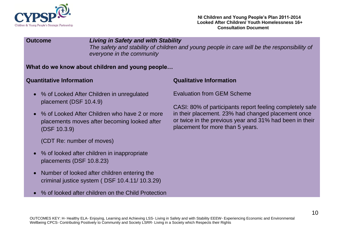

### **Outcome** *Living in Safety and with Stability The safety and stability of children and young people in care will be the responsibility of everyone in the community*

### **What do we know about children and young people…**

### **Quantitative Information Qualitative Information**

- % of Looked After Children in unregulated placement (DSF 10.4.9)
- % of Looked After Children who have 2 or more placements moves after becoming looked after (DSF 10.3.9)

(CDT Re: number of moves)

- % of looked after children in inappropriate placements (DSF 10.8.23)
- Number of looked after children entering the criminal justice system ( DSF 10.4.11/ 10.3.29)
- % of looked after children on the Child Protection

Evaluation from GEM Scheme

CASI: 80% of participants report feeling completely safe in their placement. 23% had changed placement once or twice in the previous year and 31% had been in their placement for more than 5 years.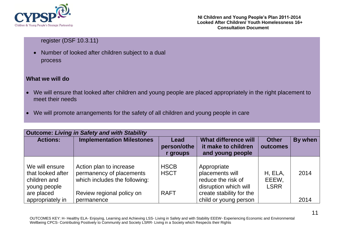

### register (DSF 10.3.11)

 Number of looked after children subject to a dual process

### **What we will do**

- We will ensure that looked after children and young people are placed appropriately in the right placement to meet their needs
- We will promote arrangements for the safety of all children and young people in care

| <b>Outcome: Living in Safety and with Stability</b> |                                                                                      |                                 |                                                                            |                          |         |  |  |  |
|-----------------------------------------------------|--------------------------------------------------------------------------------------|---------------------------------|----------------------------------------------------------------------------|--------------------------|---------|--|--|--|
| <b>Actions:</b>                                     | <b>Implementation Milestones</b>                                                     | Lead<br>person/othe<br>r groups | <b>What difference will</b><br>it make to children<br>and young people     | <b>Other</b><br>outcomes | By when |  |  |  |
| We will ensure<br>that looked after<br>children and | Action plan to increase<br>permanency of placements<br>which includes the following: | <b>HSCB</b><br><b>HSCT</b>      | Appropriate<br>placements will<br>reduce the risk of                       | H, ELA,<br>EEEW,         | 2014    |  |  |  |
| young people<br>are placed<br>appropriately in      | Review regional policy on<br>permanence                                              | <b>RAFT</b>                     | disruption which will<br>create stability for the<br>child or young person | <b>LSRR</b>              | 2014    |  |  |  |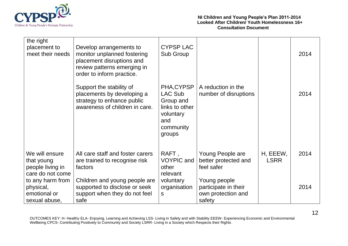

| the right<br>placement to<br>meet their needs                        | Develop arrangements to<br>monitor unplanned fostering<br>placement disruptions and<br>review patterns emerging in<br>order to inform practice. | <b>CYPSP LAC</b><br>Sub Group                                                                   |                                                                      |                         | 2014 |
|----------------------------------------------------------------------|-------------------------------------------------------------------------------------------------------------------------------------------------|-------------------------------------------------------------------------------------------------|----------------------------------------------------------------------|-------------------------|------|
|                                                                      | Support the stability of<br>placements by developing a<br>strategy to enhance public<br>awareness of children in care.                          | PHA, CYPSP<br>LAC Sub<br>Group and<br>links to other<br>voluntary<br>and<br>community<br>groups | A reduction in the<br>number of disruptions                          |                         | 2014 |
| We will ensure<br>that young<br>people living in<br>care do not come | All care staff and foster carers<br>are trained to recognise risk<br>factors                                                                    | RAFT,<br><b>VOYPIC</b> and<br>other<br>relevant                                                 | Young People are<br>better protected and<br>feel safer               | H, EEEW,<br><b>LSRR</b> | 2014 |
| to any harm from<br>physical,<br>emotional or<br>sexual abuse,       | Children and young people are<br>supported to disclose or seek<br>support when they do not feel<br>safe                                         | voluntary<br>organisation<br>S                                                                  | Young people<br>participate in their<br>own protection and<br>safety |                         | 2014 |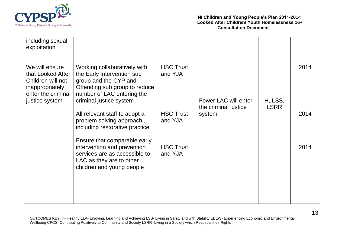

| including sexual<br>exploitation                                                                  |                                                                                                                                                       |                             |                                              |                        |      |
|---------------------------------------------------------------------------------------------------|-------------------------------------------------------------------------------------------------------------------------------------------------------|-----------------------------|----------------------------------------------|------------------------|------|
| We will ensure<br>that Looked After<br>Children will not<br>inappropriately<br>enter the criminal | Working collaboratively with<br>the Early Intervention sub<br>group and the CYP and<br>Offending sub group to reduce<br>number of LAC entering the    | <b>HSC Trust</b><br>and YJA |                                              |                        | 2014 |
| justice system                                                                                    | criminal justice system                                                                                                                               |                             | Fewer LAC will enter<br>the criminal justice | H, LSS,<br><b>LSRR</b> |      |
|                                                                                                   | All relevant staff to adopt a<br>problem solving approach,<br>including restorative practice                                                          | <b>HSC Trust</b><br>and YJA | system                                       |                        | 2014 |
|                                                                                                   | Ensure that comparable early<br>intervention and prevention<br>services are as accessible to<br>LAC as they are to other<br>children and young people | <b>HSC Trust</b><br>and YJA |                                              |                        | 2014 |
|                                                                                                   |                                                                                                                                                       |                             |                                              |                        |      |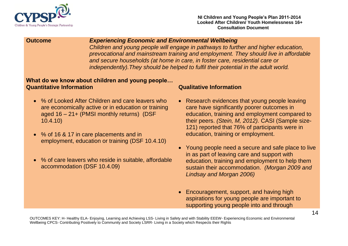

### **Outcome** *Experiencing Economic and Environmental Wellbeing*

*Children and young people will engage in pathways to further and higher education, prevocational and mainstream training and employment. They should live in affordable and secure households (at home in care, in foster care, residential care or independently).They should be helped to fulfil their potential in the adult world.*

### **What do we know about children and young people… Quantitative Information Qualitative Information**

- % of Looked After Children and care leavers who are economically active or in education or training aged 16 – 21+ (PMSI monthly returns) (DSF 10.4.10)
- % of 16 & 17 in care placements and in employment, education or training (DSF 10.4.10)
- % of care leavers who reside in suitable, affordable accommodation (DSF 10.4.09)

- Research evidences that young people leaving care have significantly poorer outcomes in education, training and employment compared to their peers. *(Stein, M, 2012).* CASI (Sample size-121) reported that 76% of participants were in education, training or employment.
- Young people need a secure and safe place to live in as part of leaving care and support with education, training and employment to help them sustain their accommodation. *(Morgan 2009 and Lindsay and Morgan 2006)*
- Encouragement, support, and having high aspirations for young people are important to supporting young people into and through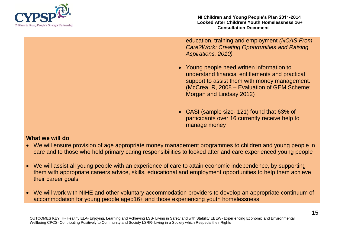

**NI Children and Young People's Plan 2011-2014 Looked After Children/ Youth Homelessness 16+ Consultation Document**

education, training and employment *(NCAS From Care2Work: Creating Opportunities and Raising Aspirations, 2010)*

- Young people need written information to understand financial entitlements and practical support to assist them with money management. (McCrea, R, 2008 – Evaluation of GEM Scheme; Morgan and Lindsay 2012)
- CASI (sample size- 121) found that 63% of participants over 16 currently receive help to manage money

### **What we will do**

- We will ensure provision of age appropriate money management programmes to children and young people in care and to those who hold primary caring responsibilities to looked after and care experienced young people
- We will assist all young people with an experience of care to attain economic independence, by supporting them with appropriate careers advice, skills, educational and employment opportunities to help them achieve their career goals.
- We will work with NIHE and other voluntary accommodation providers to develop an appropriate continuum of accommodation for young people aged16+ and those experiencing youth homelessness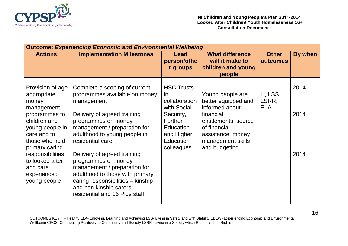

| <b>Outcome: Experiencing Economic and Environmental Wellbeing</b>                                   |                                                                                                                                                                                                                        |                                                                                          |                                                                                                              |                                |         |  |  |
|-----------------------------------------------------------------------------------------------------|------------------------------------------------------------------------------------------------------------------------------------------------------------------------------------------------------------------------|------------------------------------------------------------------------------------------|--------------------------------------------------------------------------------------------------------------|--------------------------------|---------|--|--|
| <b>Actions:</b>                                                                                     | <b>Implementation Milestones</b>                                                                                                                                                                                       | Lead<br>person/othe<br>r groups                                                          | <b>What difference</b><br>will it make to<br>children and young<br>people                                    | <b>Other</b><br>outcomes       | By when |  |  |
| Provision of age<br>appropriate<br>money<br>management                                              | Complete a scoping of current<br>programmes available on money<br>management                                                                                                                                           | <b>HSC Trusts</b><br>in<br>collaboration<br>with Social                                  | Young people are<br>better equipped and<br>informed about                                                    | H, LSS,<br>LSRR,<br><b>ELA</b> | 2014    |  |  |
| programmes to<br>children and<br>young people in<br>care and to<br>those who hold<br>primary caring | Delivery of agreed training<br>programmes on money<br>management / preparation for<br>adulthood to young people in<br>residential care                                                                                 | Security,<br><b>Further</b><br><b>Education</b><br>and Higher<br>Education<br>colleagues | financial<br>entitlements, source<br>of financial<br>assistance, money<br>management skills<br>and budgeting |                                | 2014    |  |  |
| responsibilities<br>to looked after<br>and care<br>experienced<br>young people                      | Delivery of agreed training<br>programmes on money<br>management / preparation for<br>adulthood to those with primary<br>caring responsibilities - kinship<br>and non kinship carers,<br>residential and 16 Plus staff |                                                                                          |                                                                                                              |                                | 2014    |  |  |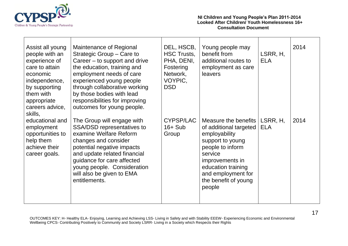

| Assist all young<br>people with an<br>experience of<br>care to attain<br>economic<br>independence,<br>by supporting<br>them with<br>appropriate<br>careers advice,<br>skills, | Maintenance of Regional<br>Strategic Group – Care to<br>Career – to support and drive<br>the education, training and<br>employment needs of care<br>experienced young people<br>through collaborative working<br>by those bodies with lead<br>responsibilities for improving<br>outcomes for young people. | DEL, HSCB,<br><b>HSC Trusts,</b><br>PHA, DENI,<br>Fostering<br>Network,<br>VOYPIC,<br><b>DSD</b> | Young people may<br>benefit from<br>additional routes to<br>employment as care<br>leavers                                                                                                                           | LSRR, H,<br><b>ELA</b> | 2014 |
|-------------------------------------------------------------------------------------------------------------------------------------------------------------------------------|------------------------------------------------------------------------------------------------------------------------------------------------------------------------------------------------------------------------------------------------------------------------------------------------------------|--------------------------------------------------------------------------------------------------|---------------------------------------------------------------------------------------------------------------------------------------------------------------------------------------------------------------------|------------------------|------|
| educational and<br>employment<br>opportunities to<br>help them<br>achieve their<br>career goals.                                                                              | The Group will engage with<br>SSA/DSD representatives to<br>examine Welfare Reform<br>changes and consider<br>potential negative impacts<br>and update related financial<br>guidance for care affected<br>young people. Consideration<br>will also be given to EMA<br>entitlements.                        | <b>CYPSP/LAC</b><br>$16 + Sub$<br>Group                                                          | Measure the benefits<br>of additional targeted<br>employability<br>support to young<br>people to inform<br>service<br>improvements in<br>education training<br>and employment for<br>the benefit of young<br>people | LSRR, H,<br><b>ELA</b> | 2014 |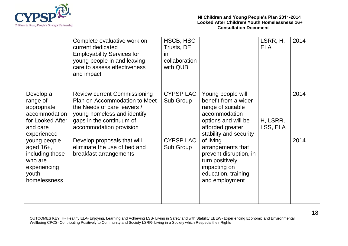

|                                                                                                      | Complete evaluative work on<br>current dedicated<br><b>Employability Services for</b><br>young people in and leaving<br>care to assess effectiveness<br>and impact                        | HSCB, HSC<br>Trusts, DEL<br><i>in</i><br>collaboration<br>with QUB |                                                                                                                                                      | LSRR, H,<br><b>ELA</b> | 2014 |
|------------------------------------------------------------------------------------------------------|-------------------------------------------------------------------------------------------------------------------------------------------------------------------------------------------|--------------------------------------------------------------------|------------------------------------------------------------------------------------------------------------------------------------------------------|------------------------|------|
| Develop a<br>range of<br>appropriate<br>accommodation<br>for Looked After<br>and care<br>experienced | <b>Review current Commissioning</b><br>Plan on Accommodation to Meet<br>the Needs of care leavers /<br>young homeless and identify<br>gaps in the continuum of<br>accommodation provision | <b>CYPSP LAC</b><br>Sub Group                                      | Young people will<br>benefit from a wider<br>range of suitable<br>accommodation<br>options and will be<br>afforded greater<br>stability and security | H, LSRR,<br>LSS, ELA   | 2014 |
| young people<br>aged $16+$ ,<br>including those<br>who are<br>experiencing<br>youth<br>homelessness  | Develop proposals that will<br>eliminate the use of bed and<br>breakfast arrangements                                                                                                     | <b>CYPSP LAC</b><br>Sub Group                                      | of living<br>arrangements that<br>prevent disruption, in<br>turn positively<br>impacting on<br>education, training<br>and employment                 |                        | 2014 |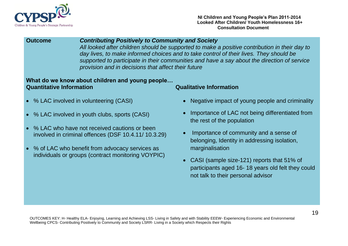

### **Outcome** *Contributing Positively to Community and Society*

*All looked after children should be supported to make a positive contribution in their day to day lives, to make informed choices and to take control of their lives. They should be supported to participate in their communities and have a say about the direction of service provision and in decisions that affect their future*

### **What do we know about children and young people… Quantitative Information Qualitative Information**

- % LAC involved in volunteering (CASI)
- % LAC involved in youth clubs, sports (CASI)
- % LAC who have not received cautions or been involved in criminal offences (DSF 10.4.11/ 10.3.29)
- % of LAC who benefit from advocacy services as individuals or groups (contract monitoring VOYPIC)

- Negative impact of young people and criminality
- Importance of LAC not being differentiated from the rest of the population
- Importance of community and a sense of belonging, Identity in addressing isolation, marginalisation
- CASI (sample size-121) reports that 51% of participants aged 16- 18 years old felt they could not talk to their personal advisor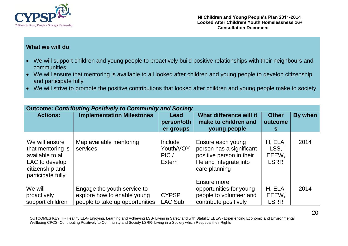

### **What we will do**

- We will support children and young people to proactively build positive relationships with their neighbours and communities
- We will ensure that mentoring is available to all looked after children and young people to develop citizenship and participate fully
- We will strive to promote the positive contributions that looked after children and young people make to society

| <b>Outcome: Contributing Positively to Community and Society</b>                                                  |                                                                                               |                                        |                                                                                                                       |                                         |         |  |  |  |
|-------------------------------------------------------------------------------------------------------------------|-----------------------------------------------------------------------------------------------|----------------------------------------|-----------------------------------------------------------------------------------------------------------------------|-----------------------------------------|---------|--|--|--|
| <b>Actions:</b>                                                                                                   | <b>Implementation Milestones</b>                                                              | Lead<br>person/oth<br>er groups        | What difference will it<br>make to children and<br>young people                                                       | <b>Other</b><br>outcome<br>S.           | By when |  |  |  |
| We will ensure<br>that mentoring is<br>available to all<br>LAC to develop<br>citizenship and<br>participate fully | Map available mentoring<br>services                                                           | Include<br>Youth/VOY<br>PIC/<br>Extern | Ensure each young<br>person has a significant<br>positive person in their<br>life and integrate into<br>care planning | H, ELA,<br>LSS,<br>EEEW,<br><b>LSRR</b> | 2014    |  |  |  |
| We will<br>proactively<br>support children                                                                        | Engage the youth service to<br>explore how to enable young<br>people to take up opportunities | <b>CYPSP</b><br><b>LAC Sub</b>         | Ensure more<br>opportunities for young<br>people to volunteer and<br>contribute positively                            | H, ELA,<br>EEEW,<br><b>LSRR</b>         | 2014    |  |  |  |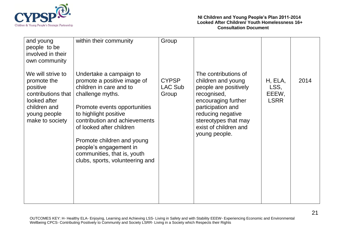

| and young<br>people to be<br>involved in their<br>own community                                                                       | within their community                                                                                                                                                                                                                                                                                                                                | Group                                   |                                                                                                                                                                                                                       |                                         |      |
|---------------------------------------------------------------------------------------------------------------------------------------|-------------------------------------------------------------------------------------------------------------------------------------------------------------------------------------------------------------------------------------------------------------------------------------------------------------------------------------------------------|-----------------------------------------|-----------------------------------------------------------------------------------------------------------------------------------------------------------------------------------------------------------------------|-----------------------------------------|------|
| We will strive to<br>promote the<br>positive<br>contributions that<br>looked after<br>children and<br>young people<br>make to society | Undertake a campaign to<br>promote a positive image of<br>children in care and to<br>challenge myths.<br>Promote events opportunities<br>to highlight positive<br>contribution and achievements<br>of looked after children<br>Promote children and young<br>people's engagement in<br>communities, that is, youth<br>clubs, sports, volunteering and | <b>CYPSP</b><br><b>LAC Sub</b><br>Group | The contributions of<br>children and young<br>people are positively<br>recognised,<br>encouraging further<br>participation and<br>reducing negative<br>stereotypes that may<br>exist of children and<br>young people. | H, ELA,<br>LSS,<br>EEEW,<br><b>LSRR</b> | 2014 |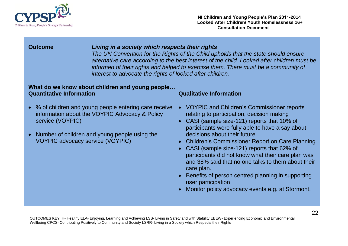

### **Outcome** *Living in a society which respects their rights*

*The UN Convention for the Rights of the Child upholds that the state should ensure alternative care according to the best interest of the child. Looked after children must be informed of their rights and helped to exercise them. There must be a community of interest to advocate the rights of looked after children.* 

### **What do we know about children and young people… Quantitative Information Qualitative Information**

- % of children and young people entering care receive information about the VOYPIC Advocacy & Policy service (VOYPIC)
- Number of children and young people using the VOYPIC advocacy service (VOYPIC)

- VOYPIC and Children's Commissioner reports relating to participation, decision making
- CASI (sample size-121) reports that 10% of participants were fully able to have a say about decisions about their future.
- Children's Commissioner Report on Care Planning
- CASI (sample size-121) reports that 62% of participants did not know what their care plan was and 38% said that no one talks to them about their care plan.
- Benefits of person centred planning in supporting user participation
- Monitor policy advocacy events e.g. at Stormont.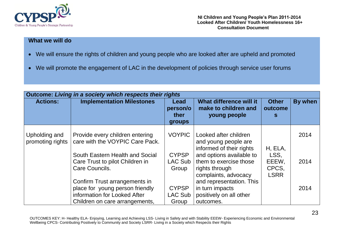

### **What we will do**

- We will ensure the rights of children and young people who are looked after are upheld and promoted
- We will promote the engagement of LAC in the development of policies through service user forums

| Outcome: Living in a society which respects their rights |                                                                                                                                    |                                    |                                                                                              |                                       |         |  |  |  |
|----------------------------------------------------------|------------------------------------------------------------------------------------------------------------------------------------|------------------------------------|----------------------------------------------------------------------------------------------|---------------------------------------|---------|--|--|--|
| <b>Actions:</b>                                          | <b>Implementation Milestones</b>                                                                                                   | Lead<br>person/o<br>ther<br>groups | What difference will it<br>make to children and<br>young people                              | <b>Other</b><br>outcome<br>S          | By when |  |  |  |
| Upholding and<br>promoting rights                        | Provide every children entering<br>care with the VOYPIC Care Pack.                                                                 | <b>VOYPIC</b>                      | Looked after children<br>and young people are<br>informed of their rights                    | H, ELA,                               | 2014    |  |  |  |
|                                                          | South Eastern Health and Social<br>Care Trust to pilot Children in<br>Care Councils.                                               | <b>CYPSP</b><br>LAC Sub<br>Group   | and options available to<br>them to exercise those<br>rights through<br>complaints, advocacy | LSS,<br>EEEW,<br>CPCS,<br><b>LSRR</b> | 2014    |  |  |  |
|                                                          | Confirm Trust arrangements in<br>place for young person friendly<br>information for Looked After<br>Children on care arrangements, | <b>CYPSP</b><br>LAC Sub<br>Group   | and representation. This<br>in turn impacts<br>positively on all other<br>outcomes.          |                                       | 2014    |  |  |  |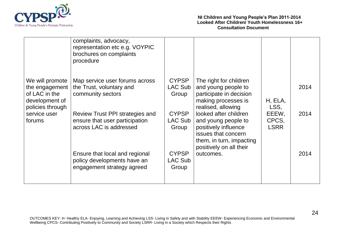

|                                                                                                                        | complaints, advocacy,<br>representation etc e.g. VOYPIC<br>brochures on complaints<br>procedure |                                         |                                                                                                                                                    |                                                  |      |
|------------------------------------------------------------------------------------------------------------------------|-------------------------------------------------------------------------------------------------|-----------------------------------------|----------------------------------------------------------------------------------------------------------------------------------------------------|--------------------------------------------------|------|
| We will promote<br>the engagement $ $<br>of LAC in the<br>development of<br>policies through<br>service user<br>forums | Map service user forums across<br>the Trust, voluntary and<br>community sectors                 | <b>CYPSP</b><br>LAC Sub<br>Group        | The right for children<br>and young people to<br>participate in decision<br>making processes is<br>realised, allowing                              | H, ELA,<br>LSS,<br>EEEW,<br>CPCS,<br><b>LSRR</b> | 2014 |
|                                                                                                                        | Review Trust PPI strategies and<br>ensure that user participation<br>across LAC is addressed    | <b>CYPSP</b><br>LAC Sub<br>Group        | looked after children<br>and young people to<br>positively influence<br>issues that concern<br>them, in turn, impacting<br>positively on all their |                                                  | 2014 |
|                                                                                                                        | Ensure that local and regional<br>policy developments have an<br>engagement strategy agreed     | <b>CYPSP</b><br><b>LAC Sub</b><br>Group | outcomes.                                                                                                                                          |                                                  | 2014 |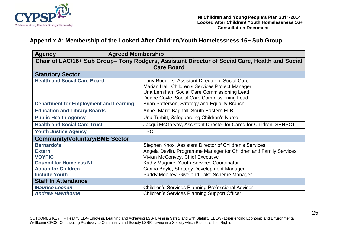

### **Appendix A: Membership of the Looked After Children/Youth Homelessness 16+ Sub Group**

| <b>Agency</b>                                                                                  | <b>Agreed Membership</b>                                           |  |  |  |  |  |
|------------------------------------------------------------------------------------------------|--------------------------------------------------------------------|--|--|--|--|--|
| Chair of LAC/16+ Sub Group- Tony Rodgers, Assistant Director of Social Care, Health and Social |                                                                    |  |  |  |  |  |
| <b>Care Board</b>                                                                              |                                                                    |  |  |  |  |  |
| <b>Statutory Sector</b>                                                                        |                                                                    |  |  |  |  |  |
| <b>Health and Social Care Board</b>                                                            | Tony Rodgers, Assistant Director of Social Care                    |  |  |  |  |  |
|                                                                                                | Marian Hall, Children's Services Project Manager                   |  |  |  |  |  |
|                                                                                                | Una Lernihan, Social Care Commissioning Lead                       |  |  |  |  |  |
|                                                                                                | Deidre Coyle, Social Care Commissioning Lead                       |  |  |  |  |  |
| <b>Department for Employment and Learning</b>                                                  | Brian Patterson, Strategy and Equality Branch                      |  |  |  |  |  |
| <b>Education and Library Boards</b>                                                            | Anne- Marie Bagnall, South Eastern ELB                             |  |  |  |  |  |
| <b>Public Health Agency</b>                                                                    | Una Turbitt, Safeguarding Children's Nurse                         |  |  |  |  |  |
| <b>Health and Social Care Trust</b>                                                            | Jacqui McGarvey, Assistant Director for Cared for Children, SEHSCT |  |  |  |  |  |
| <b>Youth Justice Agency</b>                                                                    | <b>TBC</b>                                                         |  |  |  |  |  |
| <b>Community/Voluntary/BME Sector</b>                                                          |                                                                    |  |  |  |  |  |
| <b>Barnardo's</b>                                                                              | Stephen Knox, Assistant Director of Children's Services            |  |  |  |  |  |
| <b>Extern</b>                                                                                  | Angela Devlin, Programme Manager for Children and Family Services  |  |  |  |  |  |
| <b>VOYPIC</b>                                                                                  | Vivian McConvey, Chief Executive                                   |  |  |  |  |  |
| <b>Council for Homeless NI</b>                                                                 | Kathy Maguire, Youth Services Coordinator                          |  |  |  |  |  |
| <b>Action for Children</b>                                                                     | Carina Boyle, Strategy Development Manager,                        |  |  |  |  |  |
| <b>Include Youth</b>                                                                           | Paddy Mooney, Give and Take Scheme Manager                         |  |  |  |  |  |
| <b>Staff In Attendance</b>                                                                     |                                                                    |  |  |  |  |  |
| <b>Maurice Leeson</b>                                                                          | <b>Children's Services Planning Professional Advisor</b>           |  |  |  |  |  |
| <b>Andrew Hawthorne</b>                                                                        | <b>Children's Services Planning Support Officer</b>                |  |  |  |  |  |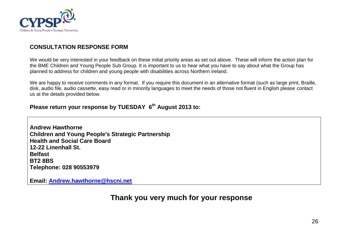

### **CONSULTATION RESPONSE FORM**

We would be very interested in your feedback on these initial priority areas as set out above. These will inform the action plan for the BME Children and Young People Sub Group. It is important to us to hear what you have to say about what the Group has planned to address for children and young people with disabilities across Northern Ireland.

We are happy to receive comments in any format. If you require this document in an alternative format (such as large print, Braille, disk, audio file, audio cassette, easy read or in minority languages to meet the needs of those not fluent in English please contact us at the details provided below.

### **Please return your response by TUESDAY 6 th August 2013 to:**

**Andrew Hawthorne Children and Young People's Strategic Partnership Health and Social Care Board 12-22 Linenhall St. Belfast BT2 8BS Telephone: 028 90553979**

**Email: [Andrew.hawthorne@hscni.net](mailto:Andrew.hawthorne@hscni.net)**

## **Thank you very much for your response**